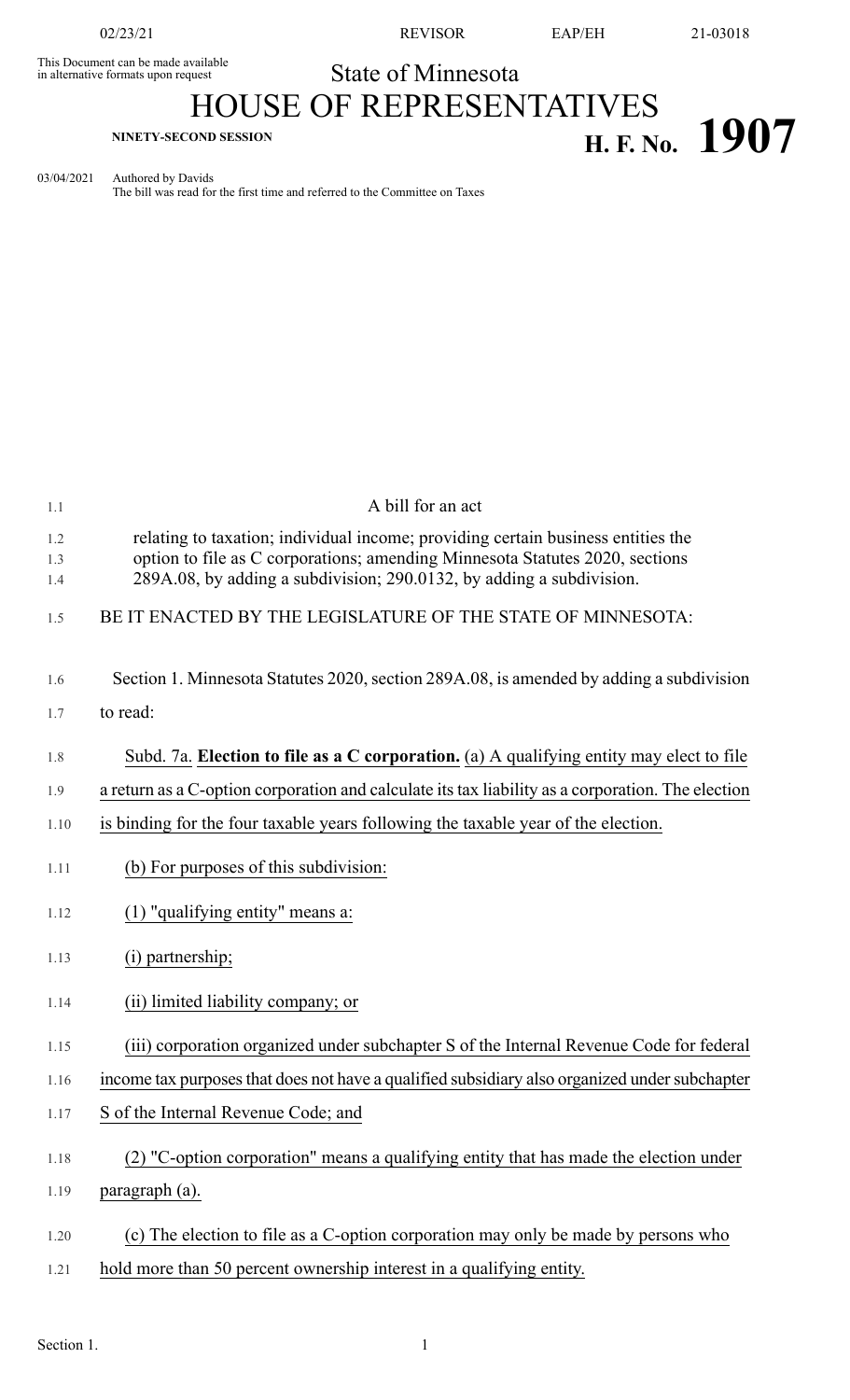This Document can be made available<br>in alternative formats upon request

02/23/21 REVISOR EAP/EH 21-03018

## State of Minnesota

## HOUSE OF REPRESENTATIVES **H. F. No. 1907 H. F. No. 1907**

03/04/2021 Authored by Davids The bill was read for the first time and referred to the Committee on Taxes

| 1.1               | A bill for an act                                                                                                                                                                                                                        |
|-------------------|------------------------------------------------------------------------------------------------------------------------------------------------------------------------------------------------------------------------------------------|
| 1.2<br>1.3<br>1.4 | relating to taxation; individual income; providing certain business entities the<br>option to file as C corporations; amending Minnesota Statutes 2020, sections<br>289A.08, by adding a subdivision; 290.0132, by adding a subdivision. |
| 1.5               | BE IT ENACTED BY THE LEGISLATURE OF THE STATE OF MINNESOTA:                                                                                                                                                                              |
| 1.6               | Section 1. Minnesota Statutes 2020, section 289A.08, is amended by adding a subdivision                                                                                                                                                  |
| 1.7               | to read:                                                                                                                                                                                                                                 |
| 1.8               | Subd. 7a. Election to file as a C corporation. (a) A qualifying entity may elect to file                                                                                                                                                 |
| 1.9               | a return as a C-option corporation and calculate its tax liability as a corporation. The election                                                                                                                                        |
| 1.10              | is binding for the four taxable years following the taxable year of the election.                                                                                                                                                        |
| 1.11              | (b) For purposes of this subdivision:                                                                                                                                                                                                    |
| 1.12              | $(1)$ "qualifying entity" means a:                                                                                                                                                                                                       |
| 1.13              | (i) partnership;                                                                                                                                                                                                                         |
| 1.14              | (ii) limited liability company; or                                                                                                                                                                                                       |
| 1.15              | (iii) corporation organized under subchapter S of the Internal Revenue Code for federal                                                                                                                                                  |
| 1.16              | income tax purposes that does not have a qualified subsidiary also organized under subchapter                                                                                                                                            |
| 1.17              | S of the Internal Revenue Code; and                                                                                                                                                                                                      |
| 1.18              | (2) "C-option corporation" means a qualifying entity that has made the election under                                                                                                                                                    |
| 1.19              | paragraph (a).                                                                                                                                                                                                                           |
| 1.20              | (c) The election to file as a C-option corporation may only be made by persons who                                                                                                                                                       |
| 1.21              | hold more than 50 percent ownership interest in a qualifying entity.                                                                                                                                                                     |